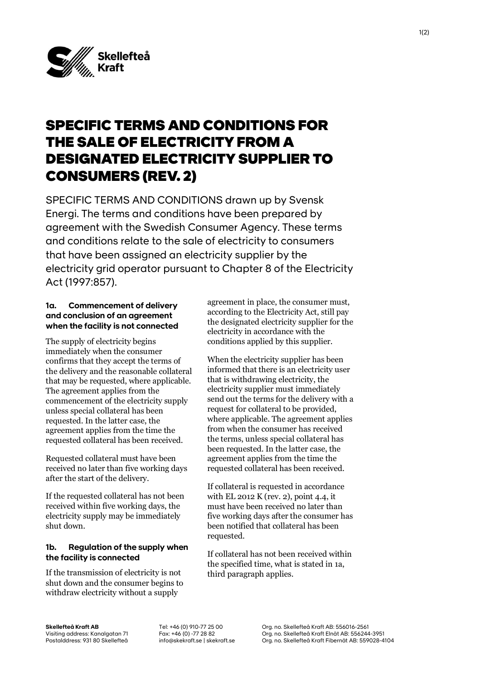

# SPECIFIC TERMS AND CONDITIONS FOR THE SALE OF ELECTRICITY FROM A DESIGNATED ELECTRICITY SUPPLIER TO CONSUMERS (REV. 2)

SPECIFIC TERMS AND CONDITIONS drawn up by Svensk Energi. The terms and conditions have been prepared by agreement with the Swedish Consumer Agency. These terms and conditions relate to the sale of electricity to consumers that have been assigned an electricity supplier by the electricity grid operator pursuant to Chapter 8 of the Electricity Act (1997:857).

#### **1a. Commencement of delivery and conclusion of an agreement when the facility is not connected**

The supply of electricity begins immediately when the consumer confirms that they accept the terms of the delivery and the reasonable collateral that may be requested, where applicable. The agreement applies from the commencement of the electricity supply unless special collateral has been requested. In the latter case, the agreement applies from the time the requested collateral has been received.

Requested collateral must have been received no later than five working days after the start of the delivery.

If the requested collateral has not been received within five working days, the electricity supply may be immediately shut down.

### **1b. Regulation of the supply when the facility is connected**

If the transmission of electricity is not shut down and the consumer begins to withdraw electricity without a supply

agreement in place, the consumer must, according to the Electricity Act, still pay the designated electricity supplier for the electricity in accordance with the conditions applied by this supplier.

When the electricity supplier has been informed that there is an electricity user that is withdrawing electricity, the electricity supplier must immediately send out the terms for the delivery with a request for collateral to be provided, where applicable. The agreement applies from when the consumer has received the terms, unless special collateral has been requested. In the latter case, the agreement applies from the time the requested collateral has been received.

If collateral is requested in accordance with EL 2012 K (rev. 2), point 4.4, it must have been received no later than five working days after the consumer has been notified that collateral has been requested.

If collateral has not been received within the specified time, what is stated in 1a, third paragraph applies.

Tel: +46 (0) 910-77 25 00 Fax: +46 (0) -77 28 82 info@skekraft.se | skekraft.se